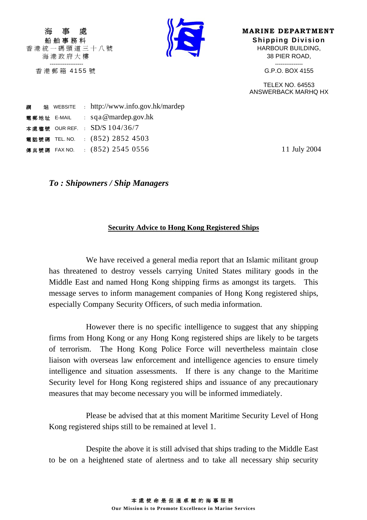香港統一碼頭道三十八號 HARBOUR BUILDING, ------------------ ---------------



**MARINE DEPARTMENT** 船舶事務科 **Shipping Division** 海港政府大樓 38 PIER ROAD,

香港郵箱 4155 號 G.P.O. BOX 4155

 TELEX NO. 64553 ANSWERBACK MARHQ HX

| 綱 |             | 站 WEBSITE : http://www.info.gov.hk/mardep |
|---|-------------|-------------------------------------------|
|   | 電郵地址 E-MAIL | : $sqa \omega$ mardep.gov.hk              |
|   |             | 本處檔號 OUR REF. : SD/S 104/36/7             |
|   |             | 電話號碼 TEL. NO. : (852) 2852 4503           |
|   |             | 傳真號碼 FAX NO. : (852) 2545 0556            |
|   |             |                                           |

11 July 2004

*To : Shipowners / Ship Managers* 

## **Security Advice to Hong Kong Registered Ships**

 We have received a general media report that an Islamic militant group has threatened to destroy vessels carrying United States military goods in the Middle East and named Hong Kong shipping firms as amongst its targets. This message serves to inform management companies of Hong Kong registered ships, especially Company Security Officers, of such media information.

 However there is no specific intelligence to suggest that any shipping firms from Hong Kong or any Hong Kong registered ships are likely to be targets of terrorism. The Hong Kong Police Force will nevertheless maintain close liaison with overseas law enforcement and intelligence agencies to ensure timely intelligence and situation assessments. If there is any change to the Maritime Security level for Hong Kong registered ships and issuance of any precautionary measures that may become necessary you will be informed immediately.

 Please be advised that at this moment Maritime Security Level of Hong Kong registered ships still to be remained at level 1.

 Despite the above it is still advised that ships trading to the Middle East to be on a heightened state of alertness and to take all necessary ship security